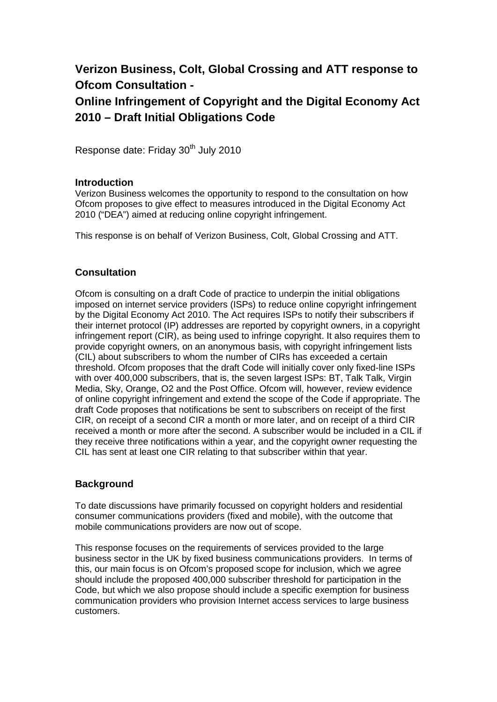# **Verizon Business, Colt, Global Crossing and ATT response to Ofcom Consultation -**

# **Online Infringement of Copyright and the Digital Economy Act 2010 – Draft Initial Obligations Code**

Response date: Friday 30<sup>th</sup> July 2010

#### **Introduction**

Verizon Business welcomes the opportunity to respond to the consultation on how Ofcom proposes to give effect to measures introduced in the Digital Economy Act 2010 ("DEA") aimed at reducing online copyright infringement.

This response is on behalf of Verizon Business, Colt, Global Crossing and ATT.

### **Consultation**

Ofcom is consulting on a draft Code of practice to underpin the initial obligations imposed on internet service providers (ISPs) to reduce online copyright infringement by the Digital Economy Act 2010. The Act requires ISPs to notify their subscribers if their internet protocol (IP) addresses are reported by copyright owners, in a copyright infringement report (CIR), as being used to infringe copyright. It also requires them to provide copyright owners, on an anonymous basis, with copyright infringement lists (CIL) about subscribers to whom the number of CIRs has exceeded a certain threshold. Ofcom proposes that the draft Code will initially cover only fixed-line ISPs with over 400,000 subscribers, that is, the seven largest ISPs: BT, Talk Talk, Virgin Media, Sky, Orange, O2 and the Post Office. Ofcom will, however, review evidence of online copyright infringement and extend the scope of the Code if appropriate. The draft Code proposes that notifications be sent to subscribers on receipt of the first CIR, on receipt of a second CIR a month or more later, and on receipt of a third CIR received a month or more after the second. A subscriber would be included in a CIL if they receive three notifications within a year, and the copyright owner requesting the CIL has sent at least one CIR relating to that subscriber within that year.

#### **Background**

To date discussions have primarily focussed on copyright holders and residential consumer communications providers (fixed and mobile), with the outcome that mobile communications providers are now out of scope.

This response focuses on the requirements of services provided to the large business sector in the UK by fixed business communications providers. In terms of this, our main focus is on Ofcom's proposed scope for inclusion, which we agree should include the proposed 400,000 subscriber threshold for participation in the Code, but which we also propose should include a specific exemption for business communication providers who provision Internet access services to large business customers.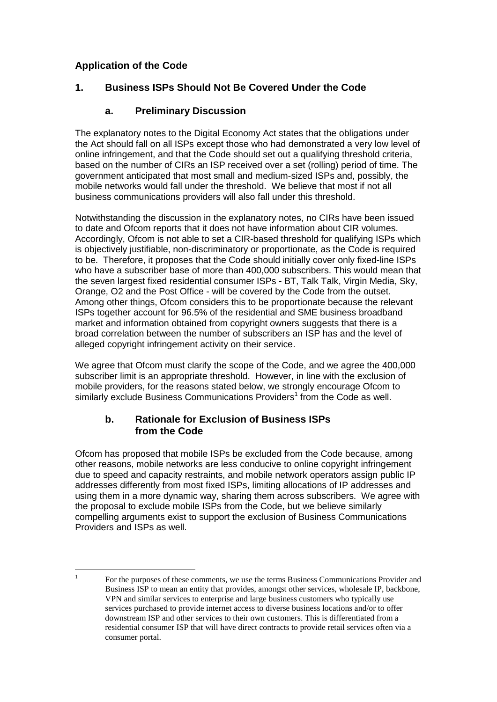# **Application of the Code**

# **1. Business ISPs Should Not Be Covered Under the Code**

# **a. Preliminary Discussion**

The explanatory notes to the Digital Economy Act states that the obligations under the Act should fall on all ISPs except those who had demonstrated a very low level of online infringement, and that the Code should set out a qualifying threshold criteria, based on the number of CIRs an ISP received over a set (rolling) period of time. The government anticipated that most small and medium-sized ISPs and, possibly, the mobile networks would fall under the threshold. We believe that most if not all business communications providers will also fall under this threshold.

Notwithstanding the discussion in the explanatory notes, no CIRs have been issued to date and Ofcom reports that it does not have information about CIR volumes. Accordingly, Ofcom is not able to set a CIR-based threshold for qualifying ISPs which is objectively justifiable, non-discriminatory or proportionate, as the Code is required to be. Therefore, it proposes that the Code should initially cover only fixed-line ISPs who have a subscriber base of more than 400,000 subscribers. This would mean that the seven largest fixed residential consumer ISPs - BT, Talk Talk, Virgin Media, Sky, Orange, O2 and the Post Office - will be covered by the Code from the outset. Among other things, Ofcom considers this to be proportionate because the relevant ISPs together account for 96.5% of the residential and SME business broadband market and information obtained from copyright owners suggests that there is a broad correlation between the number of subscribers an ISP has and the level of alleged copyright infringement activity on their service.

We agree that Ofcom must clarify the scope of the Code, and we agree the 400,000 subscriber limit is an appropriate threshold. However, in line with the exclusion of mobile providers, for the reasons stated below, we strongly encourage Ofcom to similarly exclude Business Communications Providers<sup>1</sup> from the Code as well.

### **b. Rationale for Exclusion of Business ISPs from the Code**

Ofcom has proposed that mobile ISPs be excluded from the Code because, among other reasons, mobile networks are less conducive to online copyright infringement due to speed and capacity restraints, and mobile network operators assign public IP addresses differently from most fixed ISPs, limiting allocations of IP addresses and using them in a more dynamic way, sharing them across subscribers. We agree with the proposal to exclude mobile ISPs from the Code, but we believe similarly compelling arguments exist to support the exclusion of Business Communications Providers and ISPs as well.

<sup>&</sup>lt;sup>1</sup> For the purposes of these comments, we use the terms Business Communications Provider and Business ISP to mean an entity that provides, amongst other services, wholesale IP, backbone, VPN and similar services to enterprise and large business customers who typically use services purchased to provide internet access to diverse business locations and/or to offer downstream ISP and other services to their own customers. This is differentiated from a residential consumer ISP that will have direct contracts to provide retail services often via a consumer portal.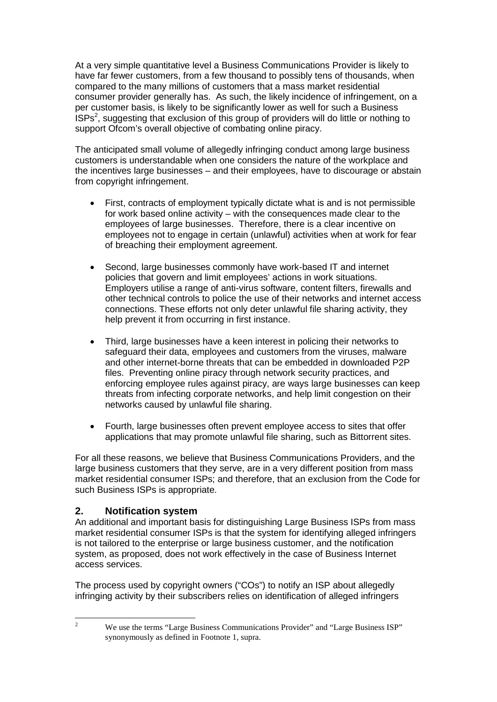At a very simple quantitative level a Business Communications Provider is likely to have far fewer customers, from a few thousand to possibly tens of thousands, when compared to the many millions of customers that a mass market residential consumer provider generally has. As such, the likely incidence of infringement, on a per customer basis, is likely to be significantly lower as well for such a Business  $ISPs<sup>2</sup>$ , suggesting that exclusion of this group of providers will do little or nothing to support Ofcom's overall objective of combating online piracy.

The anticipated small volume of allegedly infringing conduct among large business customers is understandable when one considers the nature of the workplace and the incentives large businesses – and their employees, have to discourage or abstain from copyright infringement.

- First, contracts of employment typically dictate what is and is not permissible for work based online activity – with the consequences made clear to the employees of large businesses. Therefore, there is a clear incentive on employees not to engage in certain (unlawful) activities when at work for fear of breaching their employment agreement.
- Second, large businesses commonly have work-based IT and internet policies that govern and limit employees' actions in work situations. Employers utilise a range of anti-virus software, content filters, firewalls and other technical controls to police the use of their networks and internet access connections. These efforts not only deter unlawful file sharing activity, they help prevent it from occurring in first instance.
- Third, large businesses have a keen interest in policing their networks to safeguard their data, employees and customers from the viruses, malware and other internet-borne threats that can be embedded in downloaded P2P files. Preventing online piracy through network security practices, and enforcing employee rules against piracy, are ways large businesses can keep threats from infecting corporate networks, and help limit congestion on their networks caused by unlawful file sharing.
- Fourth, large businesses often prevent employee access to sites that offer applications that may promote unlawful file sharing, such as Bittorrent sites.

For all these reasons, we believe that Business Communications Providers, and the large business customers that they serve, are in a very different position from mass market residential consumer ISPs; and therefore, that an exclusion from the Code for such Business ISPs is appropriate.

# **2. Notification system**

An additional and important basis for distinguishing Large Business ISPs from mass market residential consumer ISPs is that the system for identifying alleged infringers is not tailored to the enterprise or large business customer, and the notification system, as proposed, does not work effectively in the case of Business Internet access services.

The process used by copyright owners ("COs") to notify an ISP about allegedly infringing activity by their subscribers relies on identification of alleged infringers

<sup>&</sup>lt;sup>2</sup> We use the terms "Large Business Communications Provider" and "Large Business ISP" synonymously as defined in Footnote 1, supra.